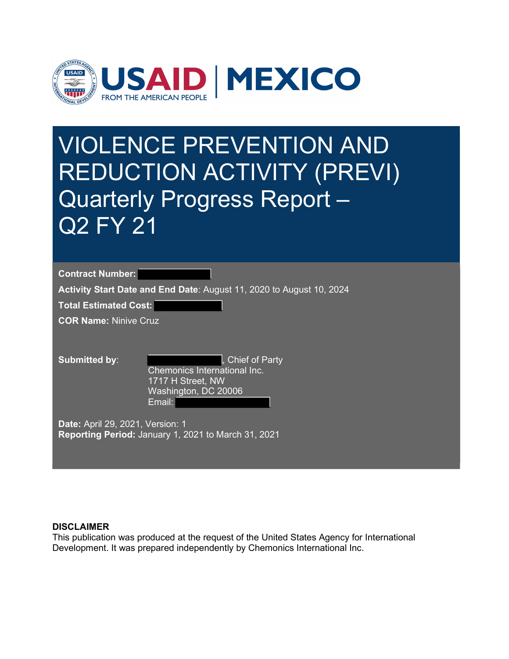

# VIOLENCE PREVENTION AND REDUCTION ACTIVITY (PREVI) Quarterly Progress Report – Q2 FY 21

Contract Number:

Activity Start Date and End Date: August 11, 2020 to August 10, 2024

Total Estimated Cost:

COR Name: Ninive Cruz

**Submitted by:**  $\qquad \qquad$ , Chief of Party Chemonics International Inc. 1717 H Street, NW Washington, DC 20006 Email:

Date: April 29, 2021, Version: 1 Reporting Period: January 1, 2021 to March 31, 2021

#### **DISCLAIMER**

This publication was produced at the request of the United States Agency for International Development. It was prepared independently by Chemonics International Inc.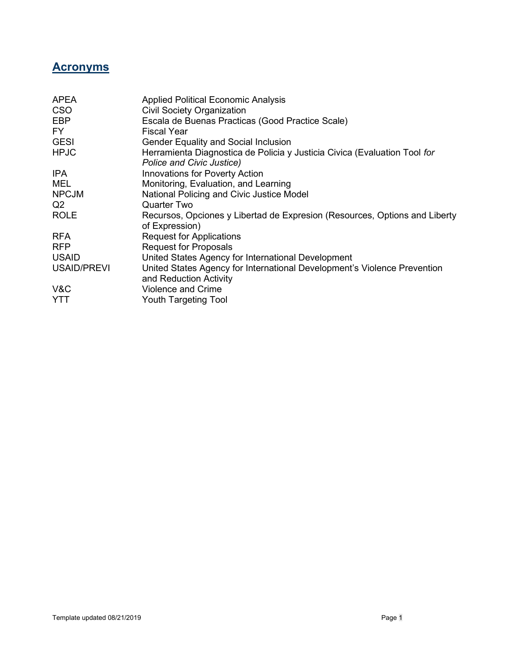## **Acronyms**

| <b>APEA</b>        | <b>Applied Political Economic Analysis</b>                                                             |
|--------------------|--------------------------------------------------------------------------------------------------------|
| <b>CSO</b>         | <b>Civil Society Organization</b>                                                                      |
| EBP                | Escala de Buenas Practicas (Good Practice Scale)                                                       |
| FY.                | <b>Fiscal Year</b>                                                                                     |
| <b>GESI</b>        | <b>Gender Equality and Social Inclusion</b>                                                            |
| <b>HPJC</b>        | Herramienta Diagnostica de Policia y Justicia Civica (Evaluation Tool for<br>Police and Civic Justice) |
| IPA                | <b>Innovations for Poverty Action</b>                                                                  |
| MEL                | Monitoring, Evaluation, and Learning                                                                   |
| <b>NPCJM</b>       | National Policing and Civic Justice Model                                                              |
| Q2                 | Quarter Two                                                                                            |
| <b>ROLE</b>        | Recursos, Opciones y Libertad de Expresion (Resources, Options and Liberty<br>of Expression)           |
| <b>RFA</b>         | <b>Request for Applications</b>                                                                        |
| <b>RFP</b>         | <b>Request for Proposals</b>                                                                           |
| <b>USAID</b>       | United States Agency for International Development                                                     |
| <b>USAID/PREVI</b> | United States Agency for International Development's Violence Prevention<br>and Reduction Activity     |
| V&C                | <b>Violence and Crime</b>                                                                              |
| <b>YTT</b>         | Youth Targeting Tool                                                                                   |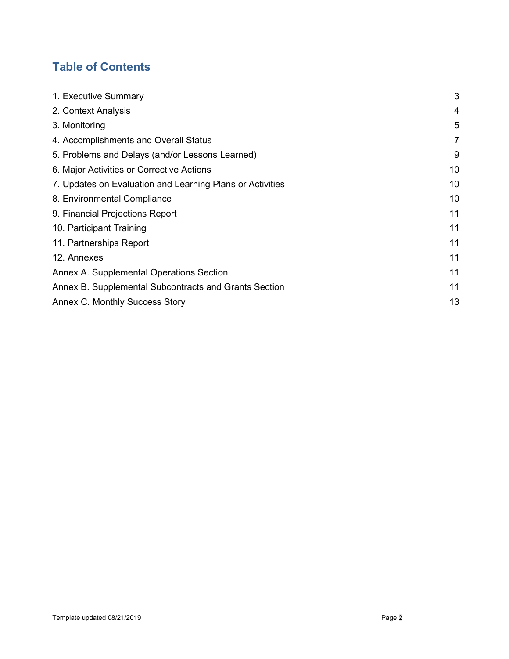# Table of Contents

| 1. Executive Summary                                      | 3  |
|-----------------------------------------------------------|----|
| 2. Context Analysis                                       | 4  |
| 3. Monitoring                                             | 5  |
| 4. Accomplishments and Overall Status                     | 7  |
| 5. Problems and Delays (and/or Lessons Learned)           | 9  |
| 6. Major Activities or Corrective Actions                 | 10 |
| 7. Updates on Evaluation and Learning Plans or Activities | 10 |
| 8. Environmental Compliance                               | 10 |
| 9. Financial Projections Report                           | 11 |
| 10. Participant Training                                  | 11 |
| 11. Partnerships Report                                   | 11 |
| 12. Annexes                                               | 11 |
| Annex A. Supplemental Operations Section                  | 11 |
| Annex B. Supplemental Subcontracts and Grants Section     | 11 |
| Annex C. Monthly Success Story                            | 13 |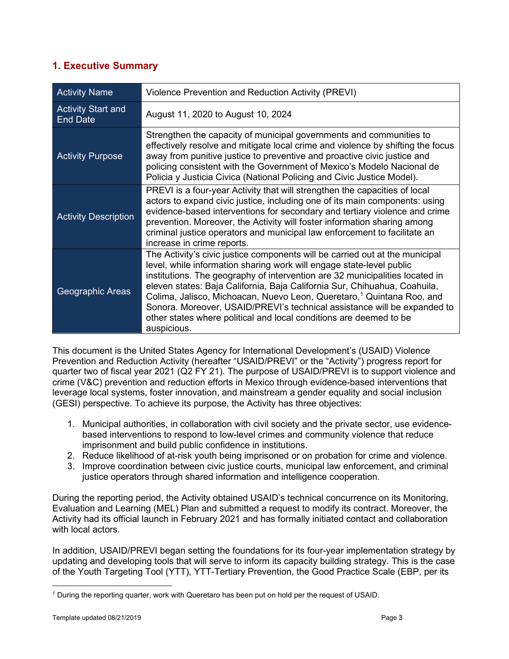## 1. Executive Summary

| <b>Activity Name</b>                         | Violence Prevention and Reduction Activity (PREVI)                                                                                                                                                                                                                                                                                                                                                                                                                                                                                                                      |
|----------------------------------------------|-------------------------------------------------------------------------------------------------------------------------------------------------------------------------------------------------------------------------------------------------------------------------------------------------------------------------------------------------------------------------------------------------------------------------------------------------------------------------------------------------------------------------------------------------------------------------|
| <b>Activity Start and</b><br><b>End Date</b> | August 11, 2020 to August 10, 2024                                                                                                                                                                                                                                                                                                                                                                                                                                                                                                                                      |
| <b>Activity Purpose</b>                      | Strengthen the capacity of municipal governments and communities to<br>effectively resolve and mitigate local crime and violence by shifting the focus<br>away from punitive justice to preventive and proactive civic justice and<br>policing consistent with the Government of Mexico's Modelo Nacional de<br>Policia y Justicia Civica (National Policing and Civic Justice Model).                                                                                                                                                                                  |
| <b>Activity Description</b>                  | PREVI is a four-year Activity that will strengthen the capacities of local<br>actors to expand civic justice, including one of its main components: using<br>evidence-based interventions for secondary and tertiary violence and crime<br>prevention. Moreover, the Activity will foster information sharing among<br>criminal justice operators and municipal law enforcement to facilitate an<br>increase in crime reports.                                                                                                                                          |
| Geographic Areas                             | The Activity's civic justice components will be carried out at the municipal<br>level, while information sharing work will engage state-level public<br>institutions. The geography of intervention are 32 municipalities located in<br>eleven states: Baja California, Baja California Sur, Chihuahua, Coahuila,<br>Colima, Jalisco, Michoacan, Nuevo Leon, Queretaro, <sup>1</sup> Quintana Roo, and<br>Sonora. Moreover, USAID/PREVI's technical assistance will be expanded to<br>other states where political and local conditions are deemed to be<br>auspicious. |

This document is the United States Agency for International Development's (USAID) Violence Prevention and Reduction Activity (hereafter "USAID/PREVI" or the "Activity") progress report for quarter two of fiscal year 2021 (Q2 FY 21). The purpose of USAID/PREVI is to support violence and crime (V&C) prevention and reduction efforts in Mexico through evidence-based interventions that leverage local systems, foster innovation, and mainstream a gender equality and social inclusion (GESI) perspective. To achieve its purpose, the Activity has three objectives:

- 1. Municipal authorities, in collaboration with civil society and the private sector, use evidencebased interventions to respond to low-level crimes and community violence that reduce imprisonment and build public confidence in institutions.
- 2. Reduce likelihood of at-risk youth being imprisoned or on probation for crime and violence.
- 3. Improve coordination between civic justice courts, municipal law enforcement, and criminal justice operators through shared information and intelligence cooperation.

During the reporting period, the Activity obtained USAID's technical concurrence on its Monitoring, Evaluation and Learning (MEL) Plan and submitted a request to modify its contract. Moreover, the Activity had its official launch in February 2021 and has formally initiated contact and collaboration with local actors.

In addition, USAID/PREVI began setting the foundations for its four-year implementation strategy by updating and developing tools that will serve to inform its capacity building strategy. This is the case of the Youth Targeting Tool (YTT), YTT-Tertiary Prevention, the Good Practice Scale (EBP, per its

<sup>1</sup> During the reporting quarter, work with Queretaro has been put on hold per the request of USAID.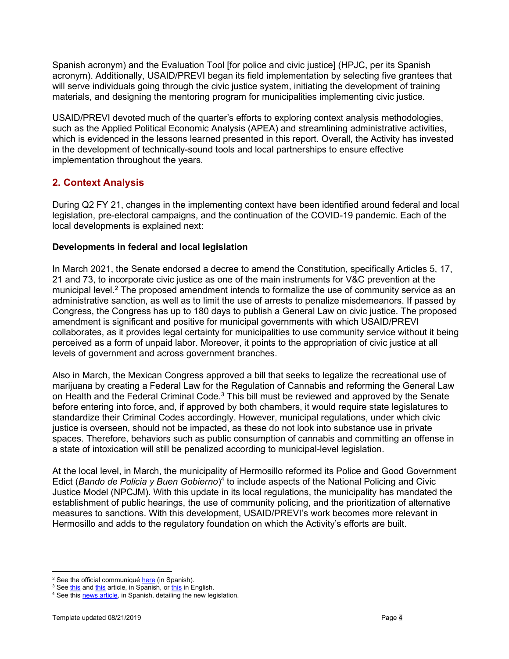Spanish acronym) and the Evaluation Tool [for police and civic justice] (HPJC, per its Spanish acronym). Additionally, USAID/PREVI began its field implementation by selecting five grantees that will serve individuals going through the civic justice system, initiating the development of training materials, and designing the mentoring program for municipalities implementing civic justice.

USAID/PREVI devoted much of the quarter's efforts to exploring context analysis methodologies, such as the Applied Political Economic Analysis (APEA) and streamlining administrative activities, which is evidenced in the lessons learned presented in this report. Overall, the Activity has invested in the development of technically-sound tools and local partnerships to ensure effective implementation throughout the years.

## 2. Context Analysis

During Q2 FY 21, changes in the implementing context have been identified around federal and local legislation, pre-electoral campaigns, and the continuation of the COVID-19 pandemic. Each of the local developments is explained next:

### Developments in federal and local legislation

In March 2021, the Senate endorsed a decree to amend the Constitution, specifically Articles 5, 17, 21 and 73, to incorporate civic justice as one of the main instruments for V&C prevention at the municipal level.<sup>2</sup> The proposed amendment intends to formalize the use of community service as an administrative sanction, as well as to limit the use of arrests to penalize misdemeanors. If passed by Congress, the Congress has up to 180 days to publish a General Law on civic justice. The proposed amendment is significant and positive for municipal governments with which USAID/PREVI collaborates, as it provides legal certainty for municipalities to use community service without it being perceived as a form of unpaid labor. Moreover, it points to the appropriation of civic justice at all levels of government and across government branches.

Also in March, the Mexican Congress approved a bill that seeks to legalize the recreational use of marijuana by creating a Federal Law for the Regulation of Cannabis and reforming the General Law on Health and the Federal Criminal Code. $^3$  This bill must be reviewed and approved by the Senate before entering into force, and, if approved by both chambers, it would require state legislatures to standardize their Criminal Codes accordingly. However, municipal regulations, under which civic justice is overseen, should not be impacted, as these do not look into substance use in private spaces. Therefore, behaviors such as public consumption of cannabis and committing an offense in a state of intoxication will still be penalized according to municipal-level legislation.

At the local level, in March, the municipality of Hermosillo reformed its Police and Good Government Edict (Bando de Policia y Buen Gobierno)<sup>4</sup> to include aspects of the National Policing and Civic Justice Model (NPCJM). With this update in its local regulations, the municipality has mandated the establishment of public hearings, the use of community policing, and the prioritization of alternative measures to sanctions. With this development, USAID/PREVI's work becomes more relevant in Hermosillo and adds to the regulatory foundation on which the Activity's efforts are built.

<sup>&</sup>lt;sup>2</sup> See the official communiqué here (in Spanish).

<sup>&</sup>lt;sup>3</sup> See <u>this</u> and <u>this</u> article, in Spanish, or <u>this</u> in English.

<sup>&</sup>lt;sup>4</sup> See this **news article**, in Spanish, detailing the new legislation.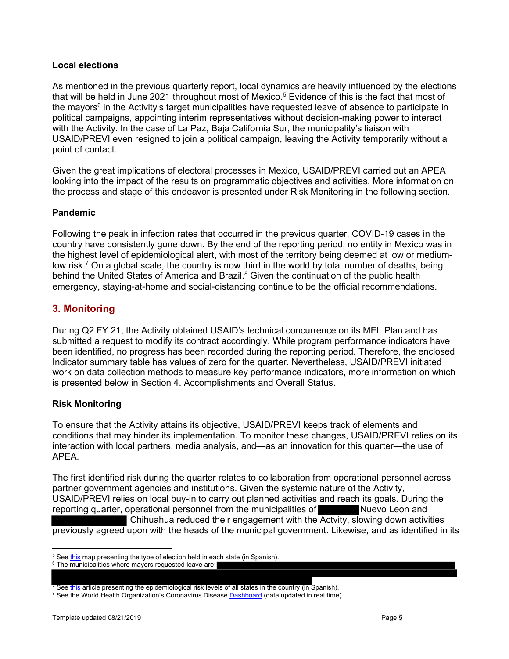#### Local elections

As mentioned in the previous quarterly report, local dynamics are heavily influenced by the elections that will be held in June 2021 throughout most of Mexico. $^5$  Evidence of this is the fact that most of the mayors<sup>6</sup> in the Activity's target municipalities have requested leave of absence to participate in political campaigns, appointing interim representatives without decision-making power to interact with the Activity. In the case of La Paz, Baja California Sur, the municipality's liaison with USAID/PREVI even resigned to join a political campaign, leaving the Activity temporarily without a point of contact.

Given the great implications of electoral processes in Mexico, USAID/PREVI carried out an APEA looking into the impact of the results on programmatic objectives and activities. More information on the process and stage of this endeavor is presented under Risk Monitoring in the following section.

#### Pandemic

Following the peak in infection rates that occurred in the previous quarter, COVID-19 cases in the country have consistently gone down. By the end of the reporting period, no entity in Mexico was in the highest level of epidemiological alert, with most of the territory being deemed at low or mediumlow risk.<sup>7</sup> On a global scale, the country is now third in the world by total number of deaths, being behind the United States of America and Brazil.<sup>8</sup> Given the continuation of the public health emergency, staying-at-home and social-distancing continue to be the official recommendations.

## 3. Monitoring

During Q2 FY 21, the Activity obtained USAID's technical concurrence on its MEL Plan and has submitted a request to modify its contract accordingly. While program performance indicators have been identified, no progress has been recorded during the reporting period. Therefore, the enclosed Indicator summary table has values of zero for the quarter. Nevertheless, USAID/PREVI initiated work on data collection methods to measure key performance indicators, more information on which is presented below in Section 4. Accomplishments and Overall Status.

### Risk Monitoring

To ensure that the Activity attains its objective, USAID/PREVI keeps track of elements and conditions that may hinder its implementation. To monitor these changes, USAID/PREVI relies on its interaction with local partners, media analysis, and—as an innovation for this quarter—the use of APEA.

The first identified risk during the quarter relates to collaboration from operational personnel across partner government agencies and institutions. Given the systemic nature of the Activity, USAID/PREVI relies on local buy-in to carry out planned activities and reach its goals. During the reporting quarter, operational personnel from the municipalities of Nuevo Leon and Chihuahua reduced their engagement with the Actvity, slowing down activities previously agreed upon with the heads of the municipal government. Likewise, and as identified in its

<sup>&</sup>lt;sup>5</sup> See <u>this</u> map presenting the type of election held in each state (in Spanish).

<sup>6</sup> The municipalities where mayors requested leave are:

<sup>&</sup>lt;sup>7</sup> See <u>this</u> article presenting the epidemiological risk levels of all states in the country (in Spanish).

<sup>&</sup>lt;sup>8</sup> See the World Health Organization's Coronavirus Disease **Dashboard** (data updated in real time).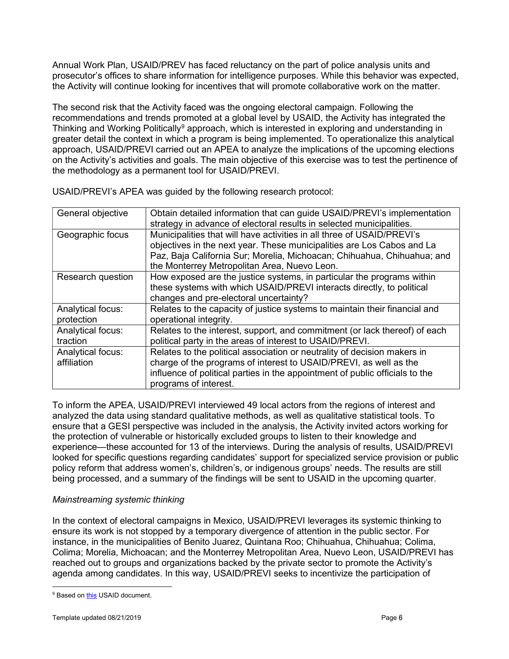Annual Work Plan, USAID/PREV has faced reluctancy on the part of police analysis units and prosecutor's offices to share information for intelligence purposes. While this behavior was expected, the Activity will continue looking for incentives that will promote collaborative work on the matter.

The second risk that the Activity faced was the ongoing electoral campaign. Following the recommendations and trends promoted at a global level by USAID, the Activity has integrated the Thinking and Working Politically<sup>9</sup> approach, which is interested in exploring and understanding in greater detail the context in which a program is being implemented. To operationalize this analytical approach, USAID/PREVI carried out an APEA to analyze the implications of the upcoming elections on the Activity's activities and goals. The main objective of this exercise was to test the pertinence of the methodology as a permanent tool for USAID/PREVI.

| General objective | Obtain detailed information that can guide USAID/PREVI's implementation      |
|-------------------|------------------------------------------------------------------------------|
|                   | strategy in advance of electoral results in selected municipalities.         |
| Geographic focus  | Municipalities that will have activities in all three of USAID/PREVI's       |
|                   | objectives in the next year. These municipalities are Los Cabos and La       |
|                   | Paz, Baja California Sur; Morelia, Michoacan; Chihuahua, Chihuahua; and      |
|                   | the Monterrey Metropolitan Area, Nuevo Leon.                                 |
| Research question | How exposed are the justice systems, in particular the programs within       |
|                   | these systems with which USAID/PREVI interacts directly, to political        |
|                   | changes and pre-electoral uncertainty?                                       |
| Analytical focus: | Relates to the capacity of justice systems to maintain their financial and   |
| protection        | operational integrity.                                                       |
| Analytical focus: | Relates to the interest, support, and commitment (or lack thereof) of each   |
| traction          | political party in the areas of interest to USAID/PREVI.                     |
| Analytical focus: | Relates to the political association or neutrality of decision makers in     |
| affiliation       | charge of the programs of interest to USAID/PREVI, as well as the            |
|                   | influence of political parties in the appointment of public officials to the |
|                   | programs of interest.                                                        |

USAID/PREVI's APEA was guided by the following research protocol:

To inform the APEA, USAID/PREVI interviewed 49 local actors from the regions of interest and analyzed the data using standard qualitative methods, as well as qualitative statistical tools. To ensure that a GESI perspective was included in the analysis, the Activity invited actors working for the protection of vulnerable or historically excluded groups to listen to their knowledge and experience—these accounted for 13 of the interviews. During the analysis of results, USAID/PREVI looked for specific questions regarding candidates' support for specialized service provision or public policy reform that address women's, children's, or indigenous groups' needs. The results are still being processed, and a summary of the findings will be sent to USAID in the upcoming quarter.

## Mainstreaming systemic thinking

In the context of electoral campaigns in Mexico, USAID/PREVI leverages its systemic thinking to ensure its work is not stopped by a temporary divergence of attention in the public sector. For instance, in the municipalities of Benito Juarez, Quintana Roo; Chihuahua, Chihuahua; Colima, Colima; Morelia, Michoacan; and the Monterrey Metropolitan Area, Nuevo Leon, USAID/PREVI has reached out to groups and organizations backed by the private sector to promote the Activity's agenda among candidates. In this way, USAID/PREVI seeks to incentivize the participation of

<sup>&</sup>lt;sup>9</sup> Based on this USAID document.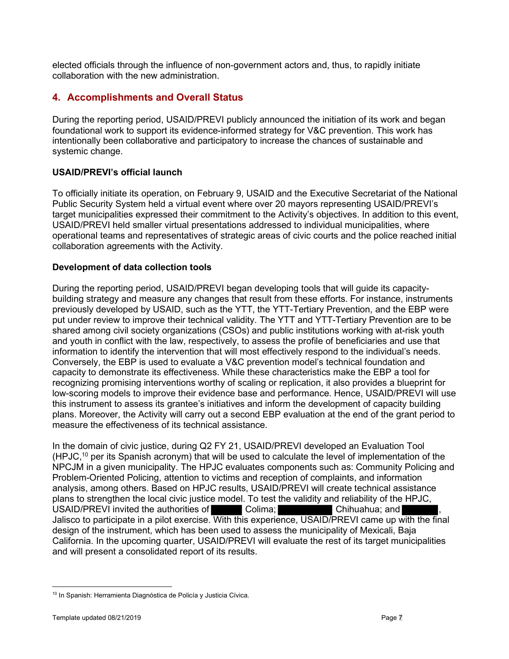elected officials through the influence of non-government actors and, thus, to rapidly initiate collaboration with the new administration.

## 4. Accomplishments and Overall Status

During the reporting period, USAID/PREVI publicly announced the initiation of its work and began foundational work to support its evidence-informed strategy for V&C prevention. This work has intentionally been collaborative and participatory to increase the chances of sustainable and systemic change.

## USAID/PREVI's official launch

To officially initiate its operation, on February 9, USAID and the Executive Secretariat of the National Public Security System held a virtual event where over 20 mayors representing USAID/PREVI's target municipalities expressed their commitment to the Activity's objectives. In addition to this event, USAID/PREVI held smaller virtual presentations addressed to individual municipalities, where operational teams and representatives of strategic areas of civic courts and the police reached initial collaboration agreements with the Activity.

### Development of data collection tools

During the reporting period, USAID/PREVI began developing tools that will guide its capacitybuilding strategy and measure any changes that result from these efforts. For instance, instruments previously developed by USAID, such as the YTT, the YTT-Tertiary Prevention, and the EBP were put under review to improve their technical validity. The YTT and YTT-Tertiary Prevention are to be shared among civil society organizations (CSOs) and public institutions working with at-risk youth and youth in conflict with the law, respectively, to assess the profile of beneficiaries and use that information to identify the intervention that will most effectively respond to the individual's needs. Conversely, the EBP is used to evaluate a V&C prevention model's technical foundation and capacity to demonstrate its effectiveness. While these characteristics make the EBP a tool for recognizing promising interventions worthy of scaling or replication, it also provides a blueprint for low-scoring models to improve their evidence base and performance. Hence, USAID/PREVI will use this instrument to assess its grantee's initiatives and inform the development of capacity building plans. Moreover, the Activity will carry out a second EBP evaluation at the end of the grant period to measure the effectiveness of its technical assistance.

In the domain of civic justice, during Q2 FY 21, USAID/PREVI developed an Evaluation Tool  $(HPJC<sub>1</sub><sup>10</sup>$  per its Spanish acronym) that will be used to calculate the level of implementation of the NPCJM in a given municipality. The HPJC evaluates components such as: Community Policing and Problem-Oriented Policing, attention to victims and reception of complaints, and information analysis, among others. Based on HPJC results, USAID/PREVI will create technical assistance plans to strengthen the local civic justice model. To test the validity and reliability of the HPJC, USAID/PREVI invited the authorities of Colima; Colima; Chihuahua; and Jalisco to participate in a pilot exercise. With this experience, USAID/PREVI came up with the final design of the instrument, which has been used to assess the municipality of Mexicali, Baja California. In the upcoming quarter, USAID/PREVI will evaluate the rest of its target municipalities and will present a consolidated report of its results.

<sup>&</sup>lt;sup>10</sup> In Spanish: Herramienta Diagnóstica de Policía y Justicia Cívica.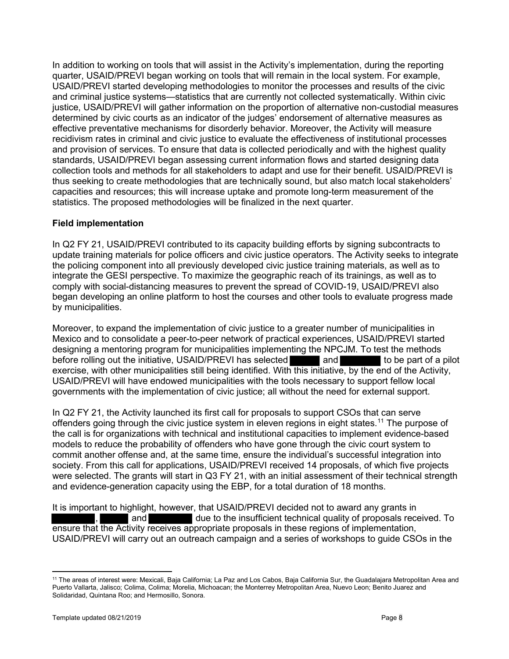In addition to working on tools that will assist in the Activity's implementation, during the reporting quarter, USAID/PREVI began working on tools that will remain in the local system. For example, USAID/PREVI started developing methodologies to monitor the processes and results of the civic and criminal justice systems—statistics that are currently not collected systematically. Within civic justice, USAID/PREVI will gather information on the proportion of alternative non-custodial measures determined by civic courts as an indicator of the judges' endorsement of alternative measures as effective preventative mechanisms for disorderly behavior. Moreover, the Activity will measure recidivism rates in criminal and civic justice to evaluate the effectiveness of institutional processes and provision of services. To ensure that data is collected periodically and with the highest quality standards, USAID/PREVI began assessing current information flows and started designing data collection tools and methods for all stakeholders to adapt and use for their benefit. USAID/PREVI is thus seeking to create methodologies that are technically sound, but also match local stakeholders' capacities and resources; this will increase uptake and promote long-term measurement of the statistics. The proposed methodologies will be finalized in the next quarter.

### Field implementation

In Q2 FY 21, USAID/PREVI contributed to its capacity building efforts by signing subcontracts to update training materials for police officers and civic justice operators. The Activity seeks to integrate the policing component into all previously developed civic justice training materials, as well as to integrate the GESI perspective. To maximize the geographic reach of its trainings, as well as to comply with social-distancing measures to prevent the spread of COVID-19, USAID/PREVI also began developing an online platform to host the courses and other tools to evaluate progress made by municipalities.

Moreover, to expand the implementation of civic justice to a greater number of municipalities in Mexico and to consolidate a peer-to-peer network of practical experiences, USAID/PREVI started designing a mentoring program for municipalities implementing the NPCJM. To test the methods before rolling out the initiative, USAID/PREVI has selected and and to be part of a pilot exercise, with other municipalities still being identified. With this initiative, by the end of the Activity, USAID/PREVI will have endowed municipalities with the tools necessary to support fellow local governments with the implementation of civic justice; all without the need for external support.

In Q2 FY 21, the Activity launched its first call for proposals to support CSOs that can serve offenders going through the civic justice system in eleven regions in eight states.<sup>11</sup> The purpose of the call is for organizations with technical and institutional capacities to implement evidence-based models to reduce the probability of offenders who have gone through the civic court system to commit another offense and, at the same time, ensure the individual's successful integration into society. From this call for applications, USAID/PREVI received 14 proposals, of which five projects were selected. The grants will start in Q3 FY 21, with an initial assessment of their technical strength and evidence-generation capacity using the EBP, for a total duration of 18 months.

It is important to highlight, however, that USAID/PREVI decided not to award any grants in and **due to the insufficient technical quality of proposals received.** To ensure that the Activity receives appropriate proposals in these regions of implementation, USAID/PREVI will carry out an outreach campaign and a series of workshops to guide CSOs in the

<sup>&</sup>lt;sup>11</sup> The areas of interest were: Mexicali, Baja California; La Paz and Los Cabos, Baja California Sur, the Guadalajara Metropolitan Area and Puerto Vallarta, Jalisco; Colima, Colima; Morelia, Michoacan; the Monterrey Metropolitan Area, Nuevo Leon; Benito Juarez and Solidaridad, Quintana Roo; and Hermosillo, Sonora.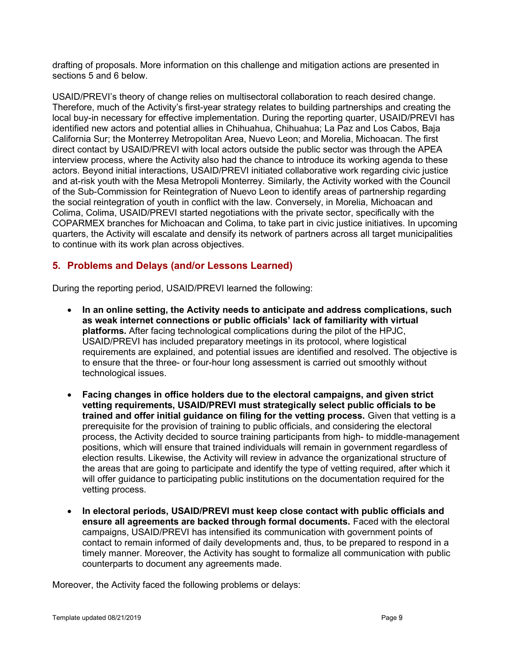drafting of proposals. More information on this challenge and mitigation actions are presented in sections 5 and 6 below.

USAID/PREVI's theory of change relies on multisectoral collaboration to reach desired change. Therefore, much of the Activity's first-year strategy relates to building partnerships and creating the local buy-in necessary for effective implementation. During the reporting quarter, USAID/PREVI has identified new actors and potential allies in Chihuahua, Chihuahua; La Paz and Los Cabos, Baja California Sur; the Monterrey Metropolitan Area, Nuevo Leon; and Morelia, Michoacan. The first direct contact by USAID/PREVI with local actors outside the public sector was through the APEA interview process, where the Activity also had the chance to introduce its working agenda to these actors. Beyond initial interactions, USAID/PREVI initiated collaborative work regarding civic justice and at-risk youth with the Mesa Metropoli Monterrey. Similarly, the Activity worked with the Council of the Sub-Commission for Reintegration of Nuevo Leon to identify areas of partnership regarding the social reintegration of youth in conflict with the law. Conversely, in Morelia, Michoacan and Colima, Colima, USAID/PREVI started negotiations with the private sector, specifically with the COPARMEX branches for Michoacan and Colima, to take part in civic justice initiatives. In upcoming quarters, the Activity will escalate and densify its network of partners across all target municipalities to continue with its work plan across objectives.

## 5. Problems and Delays (and/or Lessons Learned)

During the reporting period, USAID/PREVI learned the following:

- In an online setting, the Activity needs to anticipate and address complications, such as weak internet connections or public officials' lack of familiarity with virtual platforms. After facing technological complications during the pilot of the HPJC, USAID/PREVI has included preparatory meetings in its protocol, where logistical requirements are explained, and potential issues are identified and resolved. The objective is to ensure that the three- or four-hour long assessment is carried out smoothly without technological issues.
- Facing changes in office holders due to the electoral campaigns, and given strict vetting requirements, USAID/PREVI must strategically select public officials to be trained and offer initial guidance on filing for the vetting process. Given that vetting is a prerequisite for the provision of training to public officials, and considering the electoral process, the Activity decided to source training participants from high- to middle-management positions, which will ensure that trained individuals will remain in government regardless of election results. Likewise, the Activity will review in advance the organizational structure of the areas that are going to participate and identify the type of vetting required, after which it will offer guidance to participating public institutions on the documentation required for the vetting process.
- In electoral periods, USAID/PREVI must keep close contact with public officials and ensure all agreements are backed through formal documents. Faced with the electoral campaigns, USAID/PREVI has intensified its communication with government points of contact to remain informed of daily developments and, thus, to be prepared to respond in a timely manner. Moreover, the Activity has sought to formalize all communication with public counterparts to document any agreements made.

Moreover, the Activity faced the following problems or delays: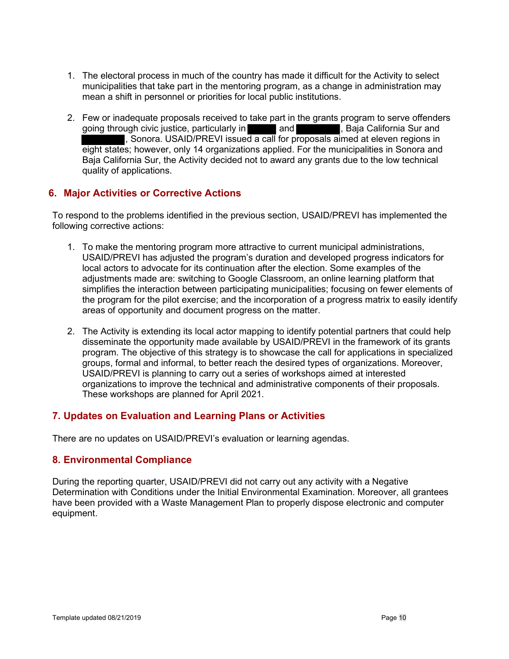- 1. The electoral process in much of the country has made it difficult for the Activity to select municipalities that take part in the mentoring program, as a change in administration may mean a shift in personnel or priorities for local public institutions.
- 2. Few or inadequate proposals received to take part in the grants program to serve offenders going through civic justice, particularly in **and the state of the Surit California** Sur and , Sonora. USAID/PREVI issued a call for proposals aimed at eleven regions in eight states; however, only 14 organizations applied. For the municipalities in Sonora and Baja California Sur, the Activity decided not to award any grants due to the low technical quality of applications.

## 6. Major Activities or Corrective Actions

To respond to the problems identified in the previous section, USAID/PREVI has implemented the following corrective actions:

- 1. To make the mentoring program more attractive to current municipal administrations, USAID/PREVI has adjusted the program's duration and developed progress indicators for local actors to advocate for its continuation after the election. Some examples of the adjustments made are: switching to Google Classroom, an online learning platform that simplifies the interaction between participating municipalities; focusing on fewer elements of the program for the pilot exercise; and the incorporation of a progress matrix to easily identify areas of opportunity and document progress on the matter.
- 2. The Activity is extending its local actor mapping to identify potential partners that could help disseminate the opportunity made available by USAID/PREVI in the framework of its grants program. The objective of this strategy is to showcase the call for applications in specialized groups, formal and informal, to better reach the desired types of organizations. Moreover, USAID/PREVI is planning to carry out a series of workshops aimed at interested organizations to improve the technical and administrative components of their proposals. These workshops are planned for April 2021.

## 7. Updates on Evaluation and Learning Plans or Activities

There are no updates on USAID/PREVI's evaluation or learning agendas.

### 8. Environmental Compliance

During the reporting quarter, USAID/PREVI did not carry out any activity with a Negative Determination with Conditions under the Initial Environmental Examination. Moreover, all grantees have been provided with a Waste Management Plan to properly dispose electronic and computer equipment.